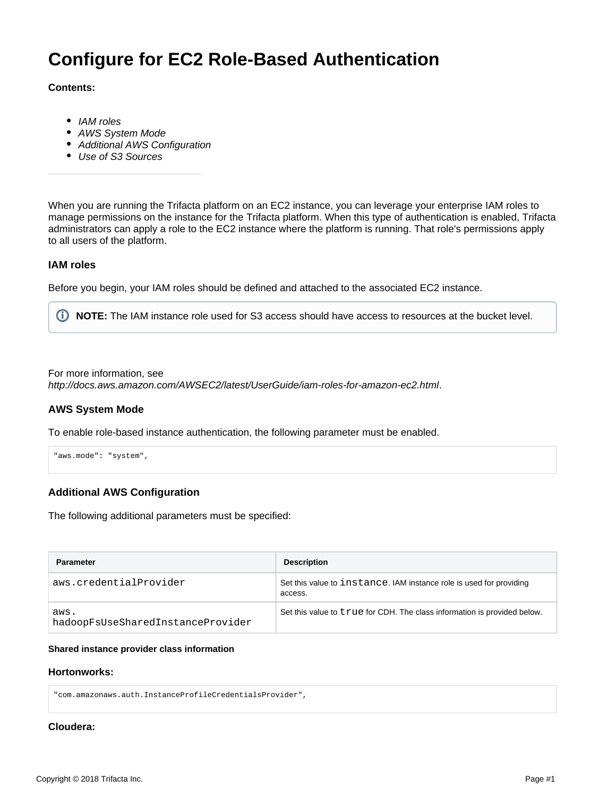# **Configure for EC2 Role-Based Authentication**

#### **Contents:**

- [IAM roles](#page-0-0)
- [AWS System Mode](#page-0-1)
- [Additional AWS Configuration](#page-0-2)
- [Use of S3 Sources](#page-1-0)

When you are running the Trifacta platform on an EC2 instance, you can leverage your enterprise IAM roles to manage permissions on the instance for the Trifacta platform. When this type of authentication is enabled, Trifacta administrators can apply a role to the EC2 instance where the platform is running. That role's permissions apply to all users of the platform.

## <span id="page-0-0"></span>**IAM roles**

Before you begin, your IAM roles should be defined and attached to the associated EC2 instance.

**NOTE:** The IAM instance role used for S3 access should have access to resources at the bucket level.

For more information, see

<http://docs.aws.amazon.com/AWSEC2/latest/UserGuide/iam-roles-for-amazon-ec2.html>.

## <span id="page-0-1"></span>**AWS System Mode**

To enable role-based instance authentication, the following parameter must be enabled.

```
"aws.mode": "system",
```
# <span id="page-0-2"></span>**Additional AWS Configuration**

The following additional parameters must be specified:

| <b>Parameter</b>                          | <b>Description</b>                                                             |
|-------------------------------------------|--------------------------------------------------------------------------------|
| aws.credentialProvider                    | Set this value to instance. IAM instance role is used for providing<br>access. |
| aws.<br>hadoopFsUseSharedInstanceProvider | Set this value to true for CDH. The class information is provided below.       |

#### **Shared instance provider class information**

#### **Hortonworks:**

"com.amazonaws.auth.InstanceProfileCredentialsProvider",

#### **Cloudera:**